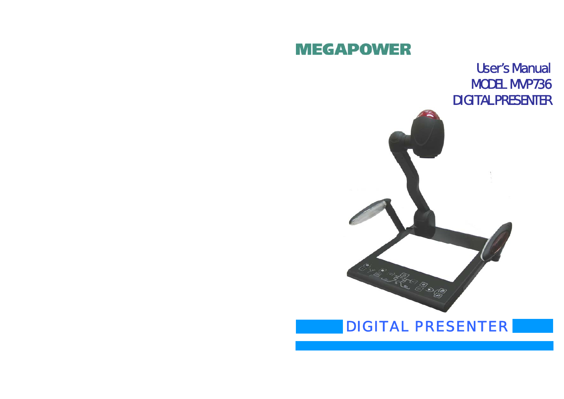# **MEGAPOWER**

User's Manual MODEL MVP736 DIGITAL PRESENTER



# DIGITAL PRESENTER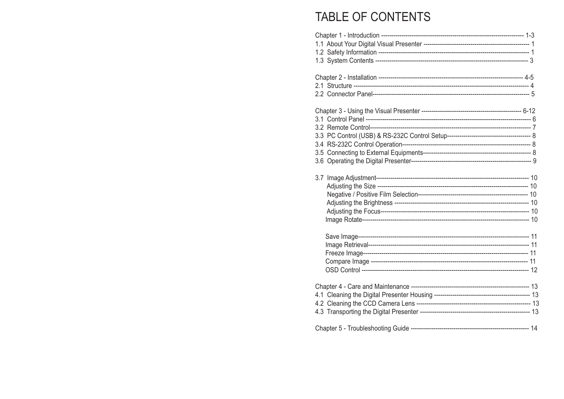# TABLE OF CONTENTS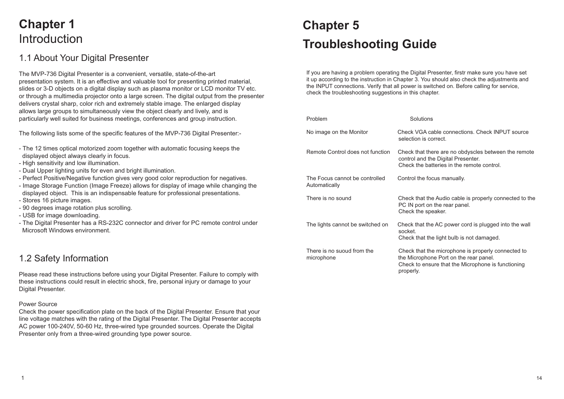# **Chapter 1** Introduction

### 1.1 About Your Digital Presenter

The MVP-736 Digital Presenter is a convenient, versatile, state-of-the-art presentation system. It is an effective and valuable tool for presenting printed material, slides or 3-D objects on a digital display such as plasma monitor or LCD monitor TV etc. or through a multimedia projector onto a large screen. The digital output from the presenter delivers crystal sharp, color rich and extremely stable image. The enlarged display allows large groups to simultaneously view the object clearly and lively, and is particularly well suited for business meetings, conferences and group instruction.

The following lists some of the specific features of the MVP-736 Digital Presenter:-

- The 12 times optical motorized zoom together with automatic focusing keeps the displayed object always clearly in focus.
- High sensitivity and low illumination.
- Dual Upper lighting units for even and bright illumination.
- Perfect Positive/Negative function gives very good color reproduction for negatives.
- Image Storage Function (Image Freeze) allows for display of image while changing the displayed object. This is an indispensable feature for professional presentations.
- Stores 16 picture images.
- 90 degrees image rotation plus scrolling.
- USB for image downloading.
- The Digital Presenter has a RS-232C connector and driver for PC remote control under Microsoft Windows environment.

### 1.2 Safety Information

Please read these instructions before using your Digital Presenter. Failure to comply with these instructions could result in electric shock, fire, personal injury or damage to your Digital Presenter.

#### Power Source

Check the power specification plate on the back of the Digital Presenter. Ensure that your line voltage matches with the rating of the Digital Presenter. The Digital Presenter accepts AC power 100-240V, 50-60 Hz, three-wired type grounded sources. Operate the Digital Presenter only from a three-wired grounding type power source.

# **Chapter 5 Troubleshooting Guide**

If you are having a problem operating the Digital Presenter, firstr make sure you have set it up according to the instruction in Chapter 3. You should also check the adjustments and the INPUT connections. Verify that all power is switched on. Before calling for service, check the troubleshooting suggestions in this chapter.

| Problem                                         | Solutions                                                                                                                                                       |
|-------------------------------------------------|-----------------------------------------------------------------------------------------------------------------------------------------------------------------|
| No image on the Monitor                         | Check VGA cable connections. Check INPUT source<br>selection is correct.                                                                                        |
| Remote Control does not function                | Check that there are no obdyscles between the remote<br>control and the Digital Presenter.<br>Check the batteries in the remote control.                        |
| The Focus cannot be controlled<br>Automatically | Control the focus manually.                                                                                                                                     |
| There is no sound                               | Check that the Audio cable is properly connected to the<br>PC IN port on the rear panel.<br>Check the speaker.                                                  |
| The lights cannot be switched on                | Check that the AC power cord is plugged into the wall<br>socket.<br>Check that the light bulb is not damaged.                                                   |
| There is no suoud from the<br>microphone        | Check that the microphone is properly connected to<br>the Microphone Port on the rear panel.<br>Check to ensure that the Microphone is functioning<br>properly. |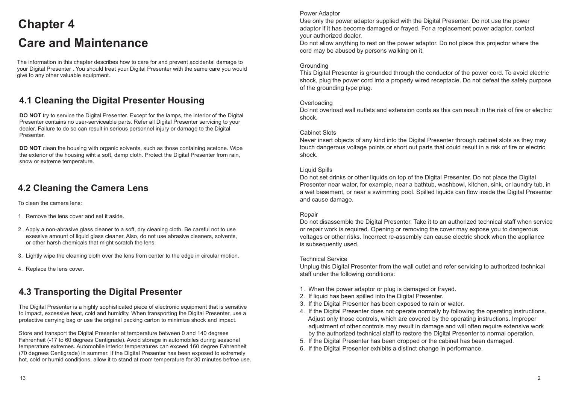# **Chapter 4 Care and Maintenance**

The information in this chapter describes how to care for and prevent accidental damage to your Digital Presenter . You should treat your Digital Presenter with the same care you would give to any other valuable equipment.

# **4.1 Cleaning the Digital Presenter Housing**

**DO NOT** try to service the Digital Presenter. Except for the lamps, the interior of the Digital Presenter contains no user-serviceable parts. Refer all Digital Presenter servicing to your dealer. Failure to do so can result in serious personnel injury or damage to the Digital Presenter.

**DO NOT** clean the housing with organic solvents, such as those containing acetone. Wipe the exterior of the housing wiht a soft, damp cloth. Protect the Digital Presenter from rain, snow or extreme temperature.

### **4.2 Cleaning the Camera Lens**

To clean the camera lens:

- 1. Remove the lens cover and set it aside.
- 2. Apply a non-abrasive glass cleaner to a soft, dry cleaning cloth. Be careful not to use exessive amount of liquid glass cleaner. Also, do not use abrasive cleaners, solvents, or other harsh chemicals that might scratch the lens.
- 3. Lightly wipe the cleaning cloth over the lens from center to the edge in circular motion.
- 4. Replace the lens cover.

# **4.3 Transporting the Digital Presenter**

The Digital Presenter is a highly sophisticated piece of electronic equipment that is sensitive to impact, excessive heat, cold and humidity. When transporting the Digital Presenter, use a protective carrying bag or use the original packing carton to minimize shock and impact.

Store and transport the Digital Presenter at temperature between 0 and 140 degrees Fahrenheit (-17 to 60 degrees Centigrade). Avoid storage in automobiles during seasonal temperature extremes. Automobile interior temperatures can exceed 160 degree Fahrenheit (70 degrees Centigrade) in summer. If the Digital Presenter has been exposed to extremely hot, cold or humid conditions, allow it to stand at room temperature for 30 minutes befroe use.

#### Power Adaptor

Use only the power adaptor supplied with the Digital Presenter. Do not use the power adaptor if it has become damaged or frayed. For a replacement power adaptor, contact your authorized dealer.

Do not allow anything to rest on the power adaptor. Do not place this projector where the cord may be abused by persons walking on it.

#### **Grounding**

This Digital Presenter is grounded through the conductor of the power cord. To avoid electric shock, plug the power cord into a properly wired receptacle. Do not defeat the safety purpose of the grounding type plug.

#### **Overloading**

Do not overload wall outlets and extension cords as this can result in the risk of fire or electric shock.

#### Cabinet Slots

Never insert objects of any kind into the Digital Presenter through cabinet slots as they may touch dangerous voltage points or short out parts that could result in a risk of fire or electric shock.

#### Liquid Spills

Do not set drinks or other liquids on top of the Digital Presenter. Do not place the Digital Presenter near water, for example, near a bathtub, washbowl, kitchen, sink, or laundry tub, in a wet basement, or near a swimming pool. Spilled liquids can flow inside the Digital Presenter and cause damage.

#### Repair

Do not disassemble the Digital Presenter. Take it to an authorized technical staff when service or repair work is required. Opening or removing the cover may expose you to dangerous voltages or other risks. Incorrect re-assembly can cause electric shock when the appliance is subsequently used.

#### Technical Service

Unplug this Digital Presenter from the wall outlet and refer servicing to authorized technical staff under the following conditions:

- 1. When the power adaptor or plug is damaged or frayed.
- 2. If liquid has been spilled into the Digital Presenter.
- 3. If the Digital Presenter has been exposed to rain or water.
- 4. If the Digital Presenter does not operate normally by following the operating instructions. Adjust only those controls, which are covered by the operating instructions. Improper adjustment of other controls may result in damage and will often require extensive work by the authorized technical staff to restore the Digital Presenter to normal operation.
- 5. If the Digital Presenter has been dropped or the cabinet has been damaged.
- 6. If the Digital Presenter exhibits a distinct change in performance.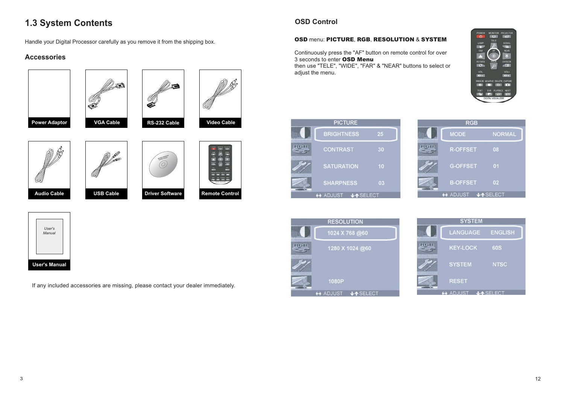# **1.3 System Contents**

Handle your Digital Processor carefully as you remove it from the shipping box.

#### **Accessories**





If any included accessories are missing, please contact your dealer immediately.

### **OSD Control**

#### OSD menu: PICTURE, RGB, RESOLUTION & SYSTEM

Continuously press the "AF" button on remote control for over 3 seconds to enter OSD Menu then use "TELE", "WIDE", "FAR" & "NEAR" buttons to select or adiust the menu.





| <b>RGB</b> |                          |                 |  |  |
|------------|--------------------------|-----------------|--|--|
|            | <b>MODE</b>              | <b>NORMAL</b>   |  |  |
|            | R-OFFSET                 | 08              |  |  |
|            | <b>G-OFFSET</b>          | 01              |  |  |
|            | <b>B-OFFSET</b>          | 02 <sub>2</sub> |  |  |
|            | $\leftrightarrow$ Adjust | <b>VASELECT</b> |  |  |

|    | <b>RESOLUTION</b> |
|----|-------------------|
|    | 1024 X 768 @60    |
| GR | 1280 X 1024 @60   |
|    |                   |
|    | 1080P             |
|    | JA SELECT         |

| <b>SYSTEM</b> |                 |                 |  |
|---------------|-----------------|-----------------|--|
|               | <b>LANGUAGE</b> | <b>ENGLISH</b>  |  |
|               | <b>KEY-LOCK</b> | <b>60S</b>      |  |
|               | <b>SYSTEM</b>   | <b>NTSC</b>     |  |
|               | <b>RESET</b>    |                 |  |
|               | A ADJUST        | <b>JASELECT</b> |  |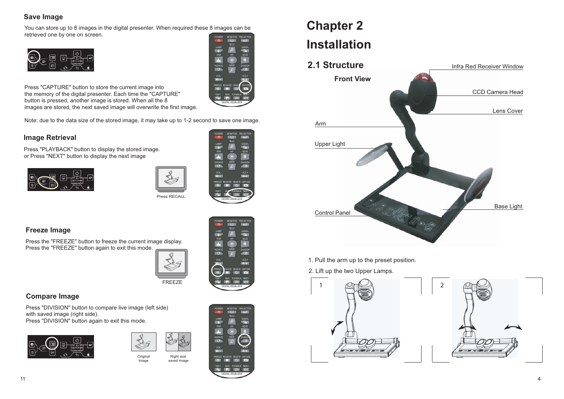#### **Save Image**

You can store up to 8 images in the digital presenter. When required these 8 images can be retrieved one by one on screen.





Press "CAPTURE" button to store the current image into the memory of the digital presenter. Each time the "CAPTURE" button is pressed, another image is stored. When all the 8 images are stored, the next saved image will overwrite the first image.

Note: due to the data size of the stored image, it may take up to 1-2 second to save one image.

#### **Image Retrieval**

Press "PLAYBACK" button to display the stored image. or Press "NEXT" button to display the next image







#### **Freeze Image**

Press the "FREEZE" button to freeze the current image display. Press the "FREEZE" button again to exit this mode.



#### **Compare Image**

Press "DIVISION" button to compare live image (left side) with saved image (right side). Press "DIVISION" button again to exit this mode.





Original Image Right size saved image



# **Chapter 2 Installation**



1. Pull the arm up to the preset position.

#### 2. Lift up the two Upper Lamps.

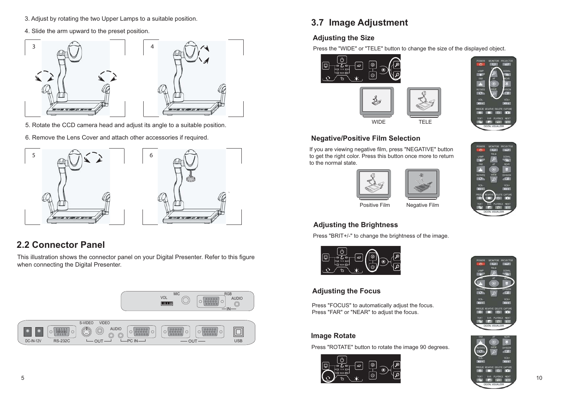- 3. Adjust by rotating the two Upper Lamps to a suitable position.
- 4. Slide the arm upward to the preset position.



- 5. Rotate the CCD camera head and adjust its angle to a suitable position.
- 6. Remove the Lens Cover and attach other accessories if required.



# **2.2 Connector Panel**

This illustration shows the connector panel on your Digital Presenter. Refer to this figure when connecting the Digital Presenter.



# **3.7 Image Adjustment**

### **Adjusting the Size**

Press the "WIDE" or "TELE" button to change the size of the displayed object.





#### **Negative/Positive Film Selection**

If you are viewing negative film, press "NEGATIVE" button to get the right color. Press this button once more to return to the normal state.







#### Positive Film Negative Film

#### **Adjusting the Brightness**

Press "BRIT+/-" to change the brightness of the image.



#### **Adjusting the Focus**

Press "FOCUS" to automatically adjust the focus. Press "FAR" or "NEAR" to adjust the focus.

#### **Image Rotate**

Press "ROTATE" button to rotate the image 90 degrees.





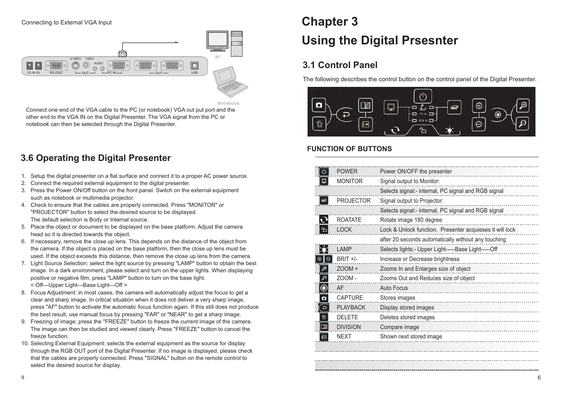#### Connecting to External VGA Input



Notebook

Connect one end of the VGA cable to the PC (or notebook) VGA out put port and the other end to the VGA IN on the Digital Presenter. The VGA signal from the PC or notebook can then be selected through the Digital Presenter.

### **3.6 Operating the Digital Presenter**

- 1. Setup the digital presenter on a flat surface and connect it to a proper AC power source.
- 2. Connect the required external equipment to the digital presenter.
- 3. Press the Power ON/Off button on the front panel. Switch on the external equipment such as notebook or multimedia projector.
- 4. Check to ensure that the cables are properly connected. Press "MONITOR" or "PROJECTOR" button to select the desired source to be displayed. The default selection is Body or Internal source.
- 5. Place the object or document to be displayed on the base platform. Adjust the camera head so it is directed towards the object.
- 6. If necessary, remove the close up lens. This depends on the distance of the object from the camera. If the object is placed on the base platform, then the close up lens must be used. If the object exceeds this distance, then remove the close up lens from the camera.
- 7. Light Source Selection: select the light source by pressing "LAMP" button to obtain the best image. In a dark environment, please select and turn on the upper lights. When displaying positive or negative film, press "LAMP" button to turn on the base light. < Off---Upper Light---Base Light---Off >
- 8. Focus Adjustment: in most cases, the camera will automatically adjust the focus to get a clear and sharp image. In critical situation when it does not deliver a very sharp image, press "AF" button to activate the automatic focus function again. If this still does not produce the best result, use manual focus by pressing "FAR" or "NEAR" to get a sharp image.
- 9. Freezing of image: press the "FREEZE" button to freeze the current image of the camera. The image can then be studied and viewed clearly. Press "FREEZE" button to cancel the freeze function.
- 10. Selecting External Equipment: selects the external equipment as the source for display through the RGB OUT port of the Digital Presenter. If no image is displayed, please check that the cables are properly connected. Press "SIGNAL" button on the remote control to select the desired source for display.

# **Chapter 3 Using the Digital Prsesnter**

# **3.1 Control Panel**

The following describes the control button on the control panel of the Digital Presenter.



#### **FUNCTION OF BUTTONS**

| $\varphi$          | <b>POWER</b>     | Power ON/OFF the presenter                               |
|--------------------|------------------|----------------------------------------------------------|
| Q                  | <b>MONITOR</b>   | Signal output to Monitor:                                |
|                    |                  | Selects signal:- internal, PC signal and RGB signal      |
| $\overline{a}$     | <b>PROJECTOR</b> | Signal output to Projector:                              |
|                    |                  | Selects signal:- internal, PC signal and RGB signal      |
| $\mathbf{\hat{C}}$ | <b>ROATATE</b>   | Rotate image 180 degree                                  |
| ≏                  | <b>LOCK</b>      | Lock & Unlock function. Presenter acquieses it will lock |
|                    |                  | after 20 seconds automatically without any touching      |
|                    | LAMP             | Selects lights:- Upper Light-----Base Light-----Off      |
| ♦<br>۰             | BRIT +/-         | Increase or Decrease brightness                          |
| $\mathcal{P}$      | $Z$ OOM +        | Zooms In and Enlarges size of object                     |
| ৰি                 | ZOOM-            | Zooms Out and Reduces size of object                     |
| $\odot$            | AF               | <b>Auto Focus</b>                                        |
| $\alpha$           | <b>CAPTURE</b>   | Stores images                                            |
| (ఎ                 | <b>PLAYBACK</b>  | Display stored images                                    |
| 面                  | <b>DELETE</b>    | Deletes stored images                                    |
| □                  | <b>DIVISION</b>  | Compare image                                            |
| le                 | <b>NFXT</b>      | Shown next stored image                                  |
|                    |                  |                                                          |